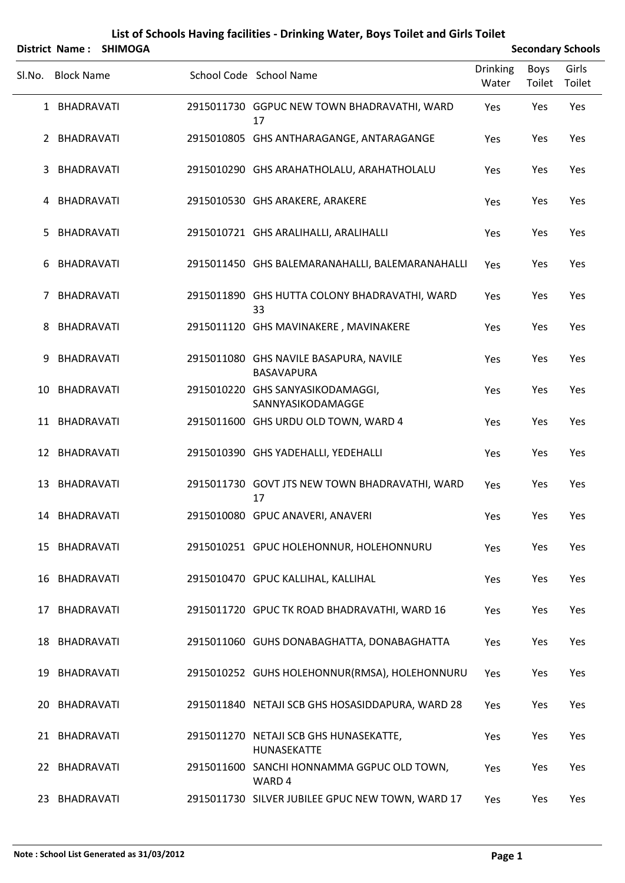|        |                   | District Name: SHIMOGA |                                                             |                          |                | <b>Secondary Schools</b> |
|--------|-------------------|------------------------|-------------------------------------------------------------|--------------------------|----------------|--------------------------|
| SI.No. | <b>Block Name</b> |                        | School Code School Name                                     | <b>Drinking</b><br>Water | Boys<br>Toilet | Girls<br>Toilet          |
|        | 1 BHADRAVATI      |                        | 2915011730 GGPUC NEW TOWN BHADRAVATHI, WARD<br>17           | Yes                      | Yes            | Yes                      |
|        | 2 BHADRAVATI      |                        | 2915010805 GHS ANTHARAGANGE, ANTARAGANGE                    | Yes                      | Yes            | Yes                      |
| 3      | <b>BHADRAVATI</b> |                        | 2915010290 GHS ARAHATHOLALU, ARAHATHOLALU                   | Yes                      | Yes            | Yes                      |
| 4      | BHADRAVATI        |                        | 2915010530 GHS ARAKERE, ARAKERE                             | Yes                      | Yes            | Yes                      |
| 5.     | BHADRAVATI        |                        | 2915010721 GHS ARALIHALLI, ARALIHALLI                       | Yes                      | Yes            | Yes                      |
| 6      | BHADRAVATI        |                        | 2915011450 GHS BALEMARANAHALLI, BALEMARANAHALLI             | Yes                      | Yes            | Yes                      |
| 7      | <b>BHADRAVATI</b> |                        | 2915011890 GHS HUTTA COLONY BHADRAVATHI, WARD<br>33         | Yes                      | Yes            | Yes                      |
| 8      | BHADRAVATI        |                        | 2915011120 GHS MAVINAKERE, MAVINAKERE                       | Yes                      | Yes            | Yes                      |
| 9      | BHADRAVATI        |                        | 2915011080 GHS NAVILE BASAPURA, NAVILE<br><b>BASAVAPURA</b> | Yes                      | Yes            | Yes                      |
| 10     | BHADRAVATI        |                        | 2915010220 GHS SANYASIKODAMAGGI,<br>SANNYASIKODAMAGGE       | Yes                      | Yes            | Yes                      |
|        | 11 BHADRAVATI     |                        | 2915011600 GHS URDU OLD TOWN, WARD 4                        | Yes                      | Yes            | Yes                      |
|        | 12 BHADRAVATI     |                        | 2915010390 GHS YADEHALLI, YEDEHALLI                         | Yes                      | Yes            | Yes                      |
| 13     | BHADRAVATI        |                        | 2915011730 GOVT JTS NEW TOWN BHADRAVATHI, WARD<br>17        | Yes                      | Yes            | Yes                      |
|        | 14 BHADRAVATI     |                        | 2915010080 GPUC ANAVERI, ANAVERI                            | Yes                      | Yes            | Yes                      |
|        | 15 BHADRAVATI     |                        | 2915010251 GPUC HOLEHONNUR, HOLEHONNURU                     | Yes                      | Yes            | Yes                      |
|        | 16 BHADRAVATI     |                        | 2915010470 GPUC KALLIHAL, KALLIHAL                          | Yes                      | Yes            | Yes                      |
| 17     | BHADRAVATI        |                        | 2915011720 GPUC TK ROAD BHADRAVATHI, WARD 16                | Yes                      | Yes            | Yes                      |
|        | 18 BHADRAVATI     |                        | 2915011060 GUHS DONABAGHATTA, DONABAGHATTA                  | Yes                      | Yes            | Yes                      |
|        | 19 BHADRAVATI     |                        | 2915010252 GUHS HOLEHONNUR(RMSA), HOLEHONNURU               | Yes                      | Yes            | Yes                      |
|        | 20 BHADRAVATI     |                        | 2915011840 NETAJI SCB GHS HOSASIDDAPURA, WARD 28            | Yes                      | Yes            | Yes                      |
|        | 21 BHADRAVATI     |                        | 2915011270 NETAJI SCB GHS HUNASEKATTE,<br>HUNASEKATTE       | Yes                      | Yes            | Yes                      |
|        | 22 BHADRAVATI     |                        | 2915011600 SANCHI HONNAMMA GGPUC OLD TOWN,<br>WARD 4        | Yes                      | Yes            | Yes                      |
|        | 23 BHADRAVATI     |                        | 2915011730 SILVER JUBILEE GPUC NEW TOWN, WARD 17            | Yes                      | Yes            | Yes                      |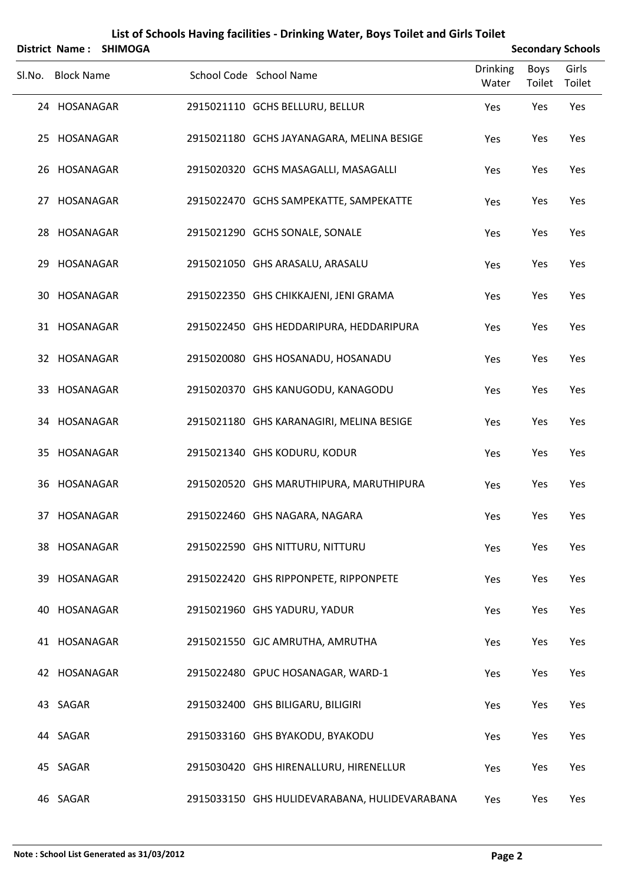|        |                   | District Name: SHIMOGA |                                               |                          |                | <b>Secondary Schools</b> |
|--------|-------------------|------------------------|-----------------------------------------------|--------------------------|----------------|--------------------------|
| SI.No. | <b>Block Name</b> |                        | School Code School Name                       | <b>Drinking</b><br>Water | Boys<br>Toilet | Girls<br>Toilet          |
|        | 24 HOSANAGAR      |                        | 2915021110 GCHS BELLURU, BELLUR               | Yes                      | Yes            | Yes                      |
|        | 25 HOSANAGAR      |                        | 2915021180 GCHS JAYANAGARA, MELINA BESIGE     | Yes                      | Yes            | Yes                      |
|        | 26 HOSANAGAR      |                        | 2915020320 GCHS MASAGALLI, MASAGALLI          | Yes                      | Yes            | Yes                      |
|        | 27 HOSANAGAR      |                        | 2915022470 GCHS SAMPEKATTE, SAMPEKATTE        | Yes                      | Yes            | Yes                      |
|        | 28 HOSANAGAR      |                        | 2915021290 GCHS SONALE, SONALE                | Yes                      | Yes            | Yes                      |
|        | 29 HOSANAGAR      |                        | 2915021050 GHS ARASALU, ARASALU               | Yes                      | Yes            | Yes                      |
|        | 30 HOSANAGAR      |                        | 2915022350 GHS CHIKKAJENI, JENI GRAMA         | Yes                      | Yes            | Yes                      |
|        | 31 HOSANAGAR      |                        | 2915022450 GHS HEDDARIPURA, HEDDARIPURA       | Yes                      | Yes            | Yes                      |
|        | 32 HOSANAGAR      |                        | 2915020080 GHS HOSANADU, HOSANADU             | Yes                      | Yes            | Yes                      |
|        | 33 HOSANAGAR      |                        | 2915020370 GHS KANUGODU, KANAGODU             | Yes                      | Yes            | Yes                      |
|        | 34 HOSANAGAR      |                        | 2915021180 GHS KARANAGIRI, MELINA BESIGE      | Yes                      | Yes            | Yes                      |
|        | 35 HOSANAGAR      |                        | 2915021340 GHS KODURU, KODUR                  | Yes                      | Yes            | Yes                      |
|        | 36 HOSANAGAR      |                        | 2915020520 GHS MARUTHIPURA, MARUTHIPURA       | Yes                      | Yes            | Yes                      |
|        | 37 HOSANAGAR      |                        | 2915022460 GHS NAGARA, NAGARA                 | Yes                      | Yes            | Yes                      |
|        | 38 HOSANAGAR      |                        | 2915022590 GHS NITTURU, NITTURU               | Yes                      | Yes            | Yes                      |
|        | 39 HOSANAGAR      |                        | 2915022420 GHS RIPPONPETE, RIPPONPETE         | Yes                      | Yes            | Yes                      |
|        | 40 HOSANAGAR      |                        | 2915021960 GHS YADURU, YADUR                  | Yes                      | Yes            | Yes                      |
|        | 41 HOSANAGAR      |                        | 2915021550 GJC AMRUTHA, AMRUTHA               | Yes                      | Yes            | Yes                      |
|        | 42 HOSANAGAR      |                        | 2915022480 GPUC HOSANAGAR, WARD-1             | Yes                      | Yes            | Yes                      |
|        | 43 SAGAR          |                        | 2915032400 GHS BILIGARU, BILIGIRI             | Yes                      | Yes            | Yes                      |
|        | 44 SAGAR          |                        | 2915033160 GHS BYAKODU, BYAKODU               | Yes                      | Yes            | Yes                      |
|        | 45 SAGAR          |                        | 2915030420 GHS HIRENALLURU, HIRENELLUR        | Yes                      | Yes            | Yes                      |
|        | 46 SAGAR          |                        | 2915033150 GHS HULIDEVARABANA, HULIDEVARABANA | Yes                      | Yes            | Yes                      |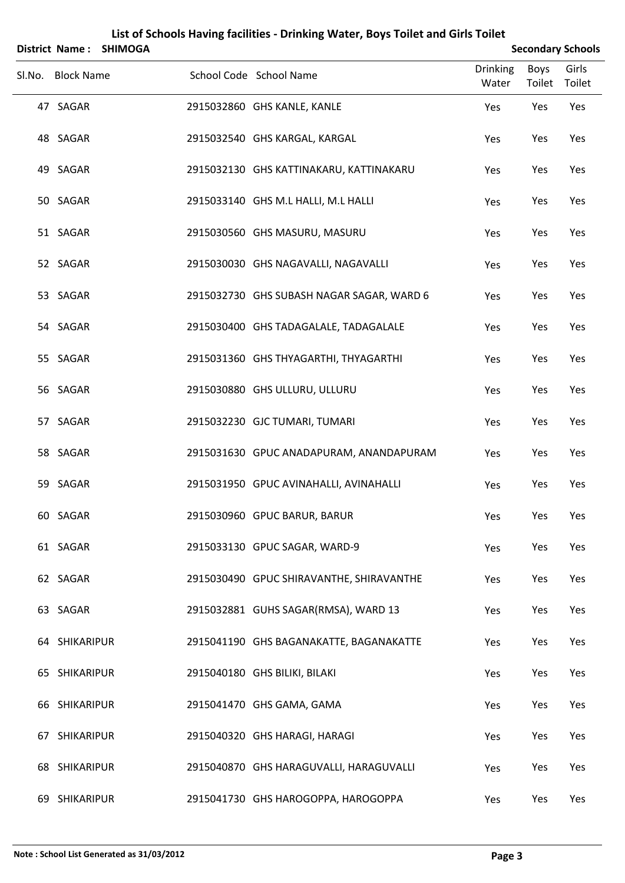|        |                   | District Name: SHIMOGA |                                           |                          | <b>Secondary Schools</b> |                 |
|--------|-------------------|------------------------|-------------------------------------------|--------------------------|--------------------------|-----------------|
| SI.No. | <b>Block Name</b> |                        | School Code School Name                   | <b>Drinking</b><br>Water | Boys<br>Toilet           | Girls<br>Toilet |
|        | 47 SAGAR          |                        | 2915032860 GHS KANLE, KANLE               | Yes                      | Yes                      | Yes             |
|        | 48 SAGAR          |                        | 2915032540 GHS KARGAL, KARGAL             | Yes                      | Yes                      | Yes             |
|        | 49 SAGAR          |                        | 2915032130 GHS KATTINAKARU, KATTINAKARU   | Yes                      | Yes                      | Yes             |
|        | 50 SAGAR          |                        | 2915033140 GHS M.L HALLI, M.L HALLI       | Yes                      | Yes                      | Yes             |
|        | 51 SAGAR          |                        | 2915030560 GHS MASURU, MASURU             | Yes                      | Yes                      | Yes             |
|        | 52 SAGAR          |                        | 2915030030 GHS NAGAVALLI, NAGAVALLI       | Yes                      | Yes                      | Yes             |
|        | 53 SAGAR          |                        | 2915032730 GHS SUBASH NAGAR SAGAR, WARD 6 | Yes                      | Yes                      | Yes             |
|        | 54 SAGAR          |                        | 2915030400 GHS TADAGALALE, TADAGALALE     | Yes                      | Yes                      | Yes             |
|        | 55 SAGAR          |                        | 2915031360 GHS THYAGARTHI, THYAGARTHI     | Yes                      | Yes                      | Yes             |
|        | 56 SAGAR          |                        | 2915030880 GHS ULLURU, ULLURU             | Yes                      | Yes                      | Yes             |
|        | 57 SAGAR          |                        | 2915032230 GJC TUMARI, TUMARI             | Yes                      | Yes                      | Yes             |
|        | 58 SAGAR          |                        | 2915031630 GPUC ANADAPURAM, ANANDAPURAM   | Yes                      | Yes                      | Yes             |
|        | 59 SAGAR          |                        | 2915031950 GPUC AVINAHALLI, AVINAHALLI    | Yes                      | Yes                      | Yes             |
|        | 60 SAGAR          |                        | 2915030960 GPUC BARUR, BARUR              | Yes                      | Yes                      | Yes             |
|        | 61 SAGAR          |                        | 2915033130 GPUC SAGAR, WARD-9             | Yes                      | Yes                      | Yes             |
|        | 62 SAGAR          |                        | 2915030490 GPUC SHIRAVANTHE, SHIRAVANTHE  | Yes                      | Yes                      | Yes             |
|        | 63 SAGAR          |                        | 2915032881 GUHS SAGAR(RMSA), WARD 13      | Yes                      | Yes                      | Yes             |
|        | 64 SHIKARIPUR     |                        | 2915041190 GHS BAGANAKATTE, BAGANAKATTE   | Yes                      | Yes                      | Yes             |
|        | 65 SHIKARIPUR     |                        | 2915040180 GHS BILIKI, BILAKI             | Yes                      | Yes                      | Yes             |
|        | 66 SHIKARIPUR     |                        | 2915041470 GHS GAMA, GAMA                 | Yes                      | Yes                      | Yes             |
|        | 67 SHIKARIPUR     |                        | 2915040320 GHS HARAGI, HARAGI             | Yes                      | Yes                      | Yes             |
|        | 68 SHIKARIPUR     |                        | 2915040870 GHS HARAGUVALLI, HARAGUVALLI   | Yes                      | Yes                      | Yes             |
|        | 69 SHIKARIPUR     |                        | 2915041730 GHS HAROGOPPA, HAROGOPPA       | Yes                      | Yes                      | Yes             |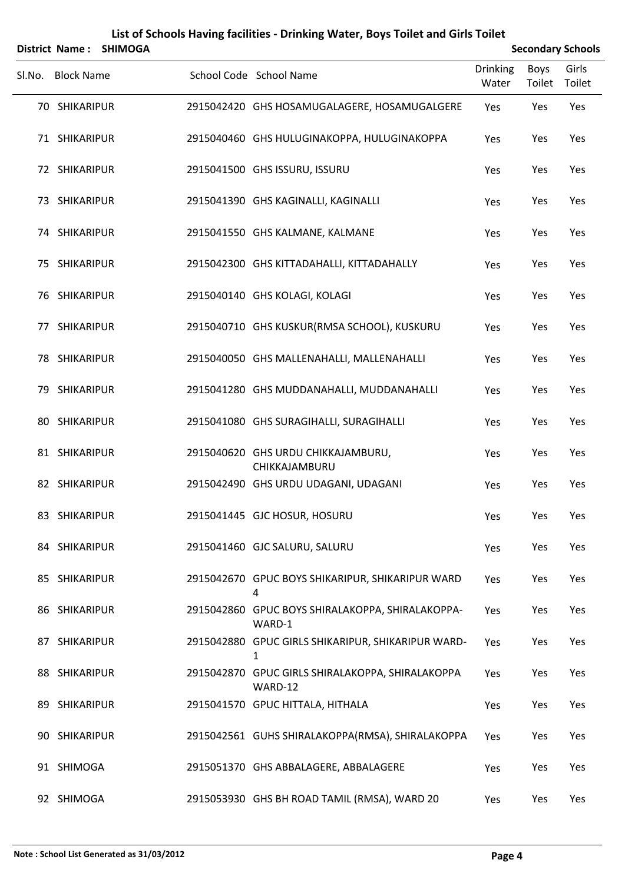|        | <b>District Name:</b> | <b>SHIMOGA</b> |                                                             |                          |                       | <b>Secondary Schools</b> |
|--------|-----------------------|----------------|-------------------------------------------------------------|--------------------------|-----------------------|--------------------------|
| SI.No. | <b>Block Name</b>     |                | School Code School Name                                     | <b>Drinking</b><br>Water | <b>Boys</b><br>Toilet | Girls<br>Toilet          |
|        | 70 SHIKARIPUR         |                | 2915042420 GHS HOSAMUGALAGERE, HOSAMUGALGERE                | Yes                      | Yes                   | Yes                      |
|        | 71 SHIKARIPUR         |                | 2915040460 GHS HULUGINAKOPPA, HULUGINAKOPPA                 | Yes                      | Yes                   | Yes                      |
|        | 72 SHIKARIPUR         |                | 2915041500 GHS ISSURU, ISSURU                               | Yes                      | Yes                   | Yes                      |
|        | 73 SHIKARIPUR         |                | 2915041390 GHS KAGINALLI, KAGINALLI                         | Yes                      | Yes                   | Yes                      |
|        | 74 SHIKARIPUR         |                | 2915041550 GHS KALMANE, KALMANE                             | Yes                      | Yes                   | Yes                      |
|        | 75 SHIKARIPUR         |                | 2915042300 GHS KITTADAHALLI, KITTADAHALLY                   | Yes                      | Yes                   | Yes                      |
|        | 76 SHIKARIPUR         |                | 2915040140 GHS KOLAGI, KOLAGI                               | Yes                      | Yes                   | Yes                      |
|        | 77 SHIKARIPUR         |                | 2915040710 GHS KUSKUR(RMSA SCHOOL), KUSKURU                 | Yes                      | Yes                   | Yes                      |
|        | 78 SHIKARIPUR         |                | 2915040050 GHS MALLENAHALLI, MALLENAHALLI                   | Yes                      | Yes                   | Yes                      |
|        | 79 SHIKARIPUR         |                | 2915041280 GHS MUDDANAHALLI, MUDDANAHALLI                   | Yes                      | Yes                   | Yes                      |
|        | 80 SHIKARIPUR         |                | 2915041080 GHS SURAGIHALLI, SURAGIHALLI                     | Yes                      | Yes                   | Yes                      |
|        | 81 SHIKARIPUR         |                | 2915040620 GHS URDU CHIKKAJAMBURU,<br>CHIKKAJAMBURU         | Yes                      | Yes                   | Yes                      |
|        | 82 SHIKARIPUR         |                | 2915042490 GHS URDU UDAGANI, UDAGANI                        | Yes                      | Yes                   | Yes                      |
|        | 83 SHIKARIPUR         |                | 2915041445 GJC HOSUR, HOSURU                                | Yes                      | Yes                   | Yes                      |
|        | 84 SHIKARIPUR         |                | 2915041460 GJC SALURU, SALURU                               | Yes                      | Yes                   | Yes                      |
|        | 85 SHIKARIPUR         |                | 2915042670 GPUC BOYS SHIKARIPUR, SHIKARIPUR WARD<br>4       | Yes                      | Yes                   | Yes                      |
|        | 86 SHIKARIPUR         |                | 2915042860 GPUC BOYS SHIRALAKOPPA, SHIRALAKOPPA-<br>WARD-1  | Yes                      | Yes                   | Yes                      |
|        | 87 SHIKARIPUR         |                | 2915042880 GPUC GIRLS SHIKARIPUR, SHIKARIPUR WARD-<br>1     | Yes                      | Yes                   | Yes                      |
|        | 88 SHIKARIPUR         |                | 2915042870 GPUC GIRLS SHIRALAKOPPA, SHIRALAKOPPA<br>WARD-12 | Yes                      | Yes                   | Yes                      |
|        | 89 SHIKARIPUR         |                | 2915041570 GPUC HITTALA, HITHALA                            | Yes                      | Yes                   | Yes                      |
|        | 90 SHIKARIPUR         |                | 2915042561 GUHS SHIRALAKOPPA(RMSA), SHIRALAKOPPA            | Yes                      | Yes                   | Yes                      |
|        | 91 SHIMOGA            |                | 2915051370 GHS ABBALAGERE, ABBALAGERE                       | Yes                      | Yes                   | Yes                      |
|        | 92 SHIMOGA            |                | 2915053930 GHS BH ROAD TAMIL (RMSA), WARD 20                | Yes                      | Yes                   | Yes                      |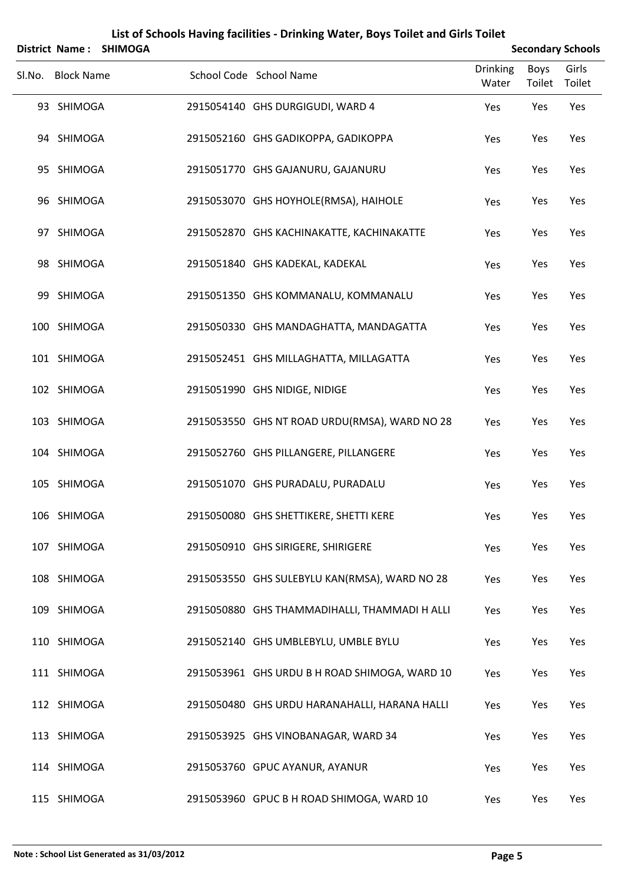|        |                   | District Name: SHIMOGA |                                               |                          |                | <b>Secondary Schools</b> |
|--------|-------------------|------------------------|-----------------------------------------------|--------------------------|----------------|--------------------------|
| SI.No. | <b>Block Name</b> |                        | School Code School Name                       | <b>Drinking</b><br>Water | Boys<br>Toilet | Girls<br>Toilet          |
|        | 93 SHIMOGA        |                        | 2915054140 GHS DURGIGUDI, WARD 4              | Yes                      | Yes            | Yes                      |
|        | 94 SHIMOGA        |                        | 2915052160 GHS GADIKOPPA, GADIKOPPA           | Yes                      | Yes            | Yes                      |
|        | 95 SHIMOGA        |                        | 2915051770 GHS GAJANURU, GAJANURU             | Yes                      | Yes            | Yes                      |
|        | 96 SHIMOGA        |                        | 2915053070 GHS HOYHOLE(RMSA), HAIHOLE         | Yes                      | Yes            | Yes                      |
|        | 97 SHIMOGA        |                        | 2915052870 GHS KACHINAKATTE, KACHINAKATTE     | Yes                      | Yes            | Yes                      |
|        | 98 SHIMOGA        |                        | 2915051840 GHS KADEKAL, KADEKAL               | Yes                      | Yes            | Yes                      |
|        | 99 SHIMOGA        |                        | 2915051350 GHS KOMMANALU, KOMMANALU           | Yes                      | Yes            | Yes                      |
|        | 100 SHIMOGA       |                        | 2915050330 GHS MANDAGHATTA, MANDAGATTA        | Yes                      | Yes            | Yes                      |
|        | 101 SHIMOGA       |                        | 2915052451 GHS MILLAGHATTA, MILLAGATTA        | Yes                      | Yes            | Yes                      |
|        | 102 SHIMOGA       |                        | 2915051990 GHS NIDIGE, NIDIGE                 | Yes                      | Yes            | Yes                      |
|        | 103 SHIMOGA       |                        | 2915053550 GHS NT ROAD URDU(RMSA), WARD NO 28 | Yes                      | Yes            | Yes                      |
|        | 104 SHIMOGA       |                        | 2915052760 GHS PILLANGERE, PILLANGERE         | Yes                      | Yes            | Yes                      |
|        | 105 SHIMOGA       |                        | 2915051070 GHS PURADALU, PURADALU             | Yes                      | Yes            | Yes                      |
|        | 106 SHIMOGA       |                        | 2915050080 GHS SHETTIKERE, SHETTI KERE        | Yes                      | Yes            | Yes                      |
|        | 107 SHIMOGA       |                        | 2915050910 GHS SIRIGERE, SHIRIGERE            | Yes                      | Yes            | Yes                      |
|        | 108 SHIMOGA       |                        | 2915053550 GHS SULEBYLU KAN(RMSA), WARD NO 28 | Yes                      | Yes            | Yes                      |
|        | 109 SHIMOGA       |                        | 2915050880 GHS THAMMADIHALLI, THAMMADI H ALLI | Yes                      | Yes            | Yes                      |
|        | 110 SHIMOGA       |                        | 2915052140 GHS UMBLEBYLU, UMBLE BYLU          | Yes                      | Yes            | Yes                      |
|        | 111 SHIMOGA       |                        | 2915053961 GHS URDU B H ROAD SHIMOGA, WARD 10 | Yes                      | Yes            | Yes                      |
|        | 112 SHIMOGA       |                        | 2915050480 GHS URDU HARANAHALLI, HARANA HALLI | Yes                      | Yes            | Yes                      |
|        | 113 SHIMOGA       |                        | 2915053925 GHS VINOBANAGAR, WARD 34           | Yes                      | Yes            | Yes                      |
|        | 114 SHIMOGA       |                        | 2915053760 GPUC AYANUR, AYANUR                | Yes                      | Yes            | Yes                      |
|        | 115 SHIMOGA       |                        | 2915053960 GPUC B H ROAD SHIMOGA, WARD 10     | Yes                      | Yes            | Yes                      |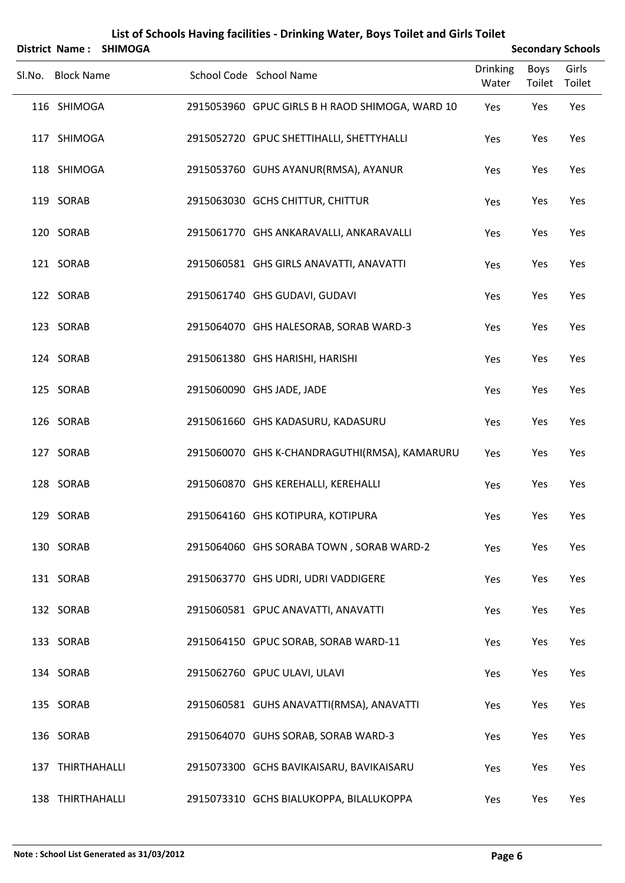|                   | District Name: SHIMOGA |                                                 |                          |                       | <b>Secondary Schools</b> |
|-------------------|------------------------|-------------------------------------------------|--------------------------|-----------------------|--------------------------|
| Sl.No. Block Name |                        | School Code School Name                         | <b>Drinking</b><br>Water | <b>Boys</b><br>Toilet | Girls<br>Toilet          |
| 116 SHIMOGA       |                        | 2915053960 GPUC GIRLS B H RAOD SHIMOGA, WARD 10 | Yes                      | Yes                   | Yes                      |
| 117 SHIMOGA       |                        | 2915052720 GPUC SHETTIHALLI, SHETTYHALLI        | Yes                      | Yes                   | Yes                      |
| 118 SHIMOGA       |                        | 2915053760 GUHS AYANUR(RMSA), AYANUR            | Yes                      | Yes                   | Yes                      |
| 119 SORAB         |                        | 2915063030 GCHS CHITTUR, CHITTUR                | Yes                      | Yes                   | Yes                      |
| 120 SORAB         |                        | 2915061770 GHS ANKARAVALLI, ANKARAVALLI         | Yes                      | Yes                   | Yes                      |
| 121 SORAB         |                        | 2915060581 GHS GIRLS ANAVATTI, ANAVATTI         | Yes                      | Yes                   | Yes                      |
| 122 SORAB         |                        | 2915061740 GHS GUDAVI, GUDAVI                   | Yes                      | Yes                   | Yes                      |
| 123 SORAB         |                        | 2915064070 GHS HALESORAB, SORAB WARD-3          | Yes                      | Yes                   | Yes                      |
| 124 SORAB         |                        | 2915061380 GHS HARISHI, HARISHI                 | Yes                      | Yes                   | Yes                      |
| 125 SORAB         |                        | 2915060090 GHS JADE, JADE                       | Yes                      | Yes                   | Yes                      |
| 126 SORAB         |                        | 2915061660 GHS KADASURU, KADASURU               | Yes                      | Yes                   | Yes                      |
| 127 SORAB         |                        | 2915060070 GHS K-CHANDRAGUTHI(RMSA), KAMARURU   | Yes                      | Yes                   | Yes                      |
| 128 SORAB         |                        | 2915060870 GHS KEREHALLI, KEREHALLI             | Yes                      | Yes                   | Yes                      |
| 129 SORAB         |                        | 2915064160 GHS KOTIPURA, KOTIPURA               | Yes                      | Yes                   | Yes                      |
| 130 SORAB         |                        | 2915064060 GHS SORABA TOWN, SORAB WARD-2        | Yes                      | Yes                   | Yes                      |
| 131 SORAB         |                        | 2915063770 GHS UDRI, UDRI VADDIGERE             | Yes                      | Yes                   | Yes                      |
| 132 SORAB         |                        | 2915060581 GPUC ANAVATTI, ANAVATTI              | Yes                      | Yes                   | Yes                      |
| 133 SORAB         |                        | 2915064150 GPUC SORAB, SORAB WARD-11            | Yes                      | Yes                   | Yes                      |
| 134 SORAB         |                        | 2915062760 GPUC ULAVI, ULAVI                    | Yes                      | Yes                   | Yes                      |
| 135 SORAB         |                        | 2915060581 GUHS ANAVATTI(RMSA), ANAVATTI        | Yes                      | Yes                   | Yes                      |
| 136 SORAB         |                        | 2915064070 GUHS SORAB, SORAB WARD-3             | Yes                      | Yes                   | Yes                      |
| 137 THIRTHAHALLI  |                        | 2915073300 GCHS BAVIKAISARU, BAVIKAISARU        | Yes                      | Yes                   | Yes                      |
| 138 THIRTHAHALLI  |                        | 2915073310 GCHS BIALUKOPPA, BILALUKOPPA         | Yes                      | Yes                   | Yes                      |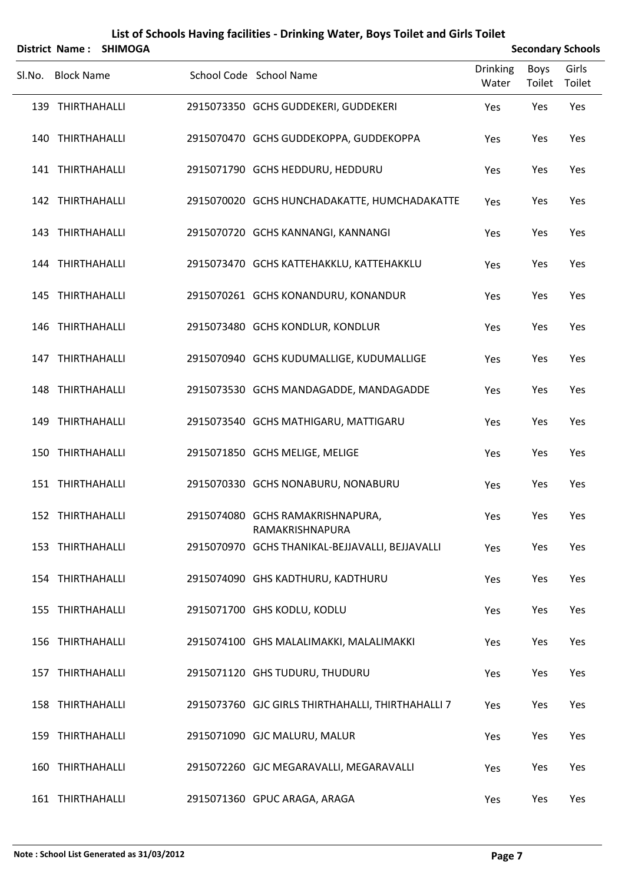|        | <b>District Name:</b> | <b>SHIMOGA</b> |                                                     |                          |                       | <b>Secondary Schools</b> |
|--------|-----------------------|----------------|-----------------------------------------------------|--------------------------|-----------------------|--------------------------|
| Sl.No. | <b>Block Name</b>     |                | School Code School Name                             | <b>Drinking</b><br>Water | <b>Boys</b><br>Toilet | Girls<br>Toilet          |
|        | 139 THIRTHAHALLI      |                | 2915073350 GCHS GUDDEKERI, GUDDEKERI                | Yes                      | Yes                   | Yes                      |
|        | 140 THIRTHAHALLI      |                | 2915070470 GCHS GUDDEKOPPA, GUDDEKOPPA              | Yes                      | Yes                   | Yes                      |
|        | 141 THIRTHAHALLI      |                | 2915071790 GCHS HEDDURU, HEDDURU                    | Yes                      | Yes                   | Yes                      |
|        | 142 THIRTHAHALLI      |                | 2915070020 GCHS HUNCHADAKATTE, HUMCHADAKATTE        | Yes                      | Yes                   | Yes                      |
|        | 143 THIRTHAHALLI      |                | 2915070720 GCHS KANNANGI, KANNANGI                  | Yes                      | Yes                   | Yes                      |
|        | 144 THIRTHAHALLI      |                | 2915073470 GCHS KATTEHAKKLU, KATTEHAKKLU            | Yes                      | Yes                   | Yes                      |
|        | 145 THIRTHAHALLI      |                | 2915070261 GCHS KONANDURU, KONANDUR                 | Yes                      | Yes                   | Yes                      |
|        | 146 THIRTHAHALLI      |                | 2915073480 GCHS KONDLUR, KONDLUR                    | Yes                      | Yes                   | Yes                      |
|        | 147 THIRTHAHALLI      |                | 2915070940 GCHS KUDUMALLIGE, KUDUMALLIGE            | Yes                      | Yes                   | Yes                      |
|        | 148 THIRTHAHALLI      |                | 2915073530 GCHS MANDAGADDE, MANDAGADDE              | Yes                      | Yes                   | Yes                      |
|        | 149 THIRTHAHALLI      |                | 2915073540 GCHS MATHIGARU, MATTIGARU                | Yes                      | Yes                   | Yes                      |
|        | 150 THIRTHAHALLI      |                | 2915071850 GCHS MELIGE, MELIGE                      | Yes                      | Yes                   | Yes                      |
|        | 151 THIRTHAHALLI      |                | 2915070330 GCHS NONABURU, NONABURU                  | Yes                      | Yes                   | Yes                      |
|        | 152 THIRTHAHALLI      |                | 2915074080 GCHS RAMAKRISHNAPURA,<br>RAMAKRISHNAPURA | Yes                      | Yes                   | Yes                      |
|        | 153 THIRTHAHALLI      |                | 2915070970 GCHS THANIKAL-BEJJAVALLI, BEJJAVALLI     | Yes                      | Yes                   | Yes                      |
|        | 154 THIRTHAHALLI      |                | 2915074090 GHS KADTHURU, KADTHURU                   | Yes                      | Yes                   | Yes                      |
|        | 155 THIRTHAHALLI      |                | 2915071700 GHS KODLU, KODLU                         | Yes                      | Yes                   | Yes                      |
|        | 156 THIRTHAHALLI      |                | 2915074100 GHS MALALIMAKKI, MALALIMAKKI             | Yes                      | Yes                   | Yes                      |
|        | 157 THIRTHAHALLI      |                | 2915071120 GHS TUDURU, THUDURU                      | Yes                      | Yes                   | Yes                      |
|        | 158 THIRTHAHALLI      |                | 2915073760 GJC GIRLS THIRTHAHALLI, THIRTHAHALLI 7   | Yes                      | Yes                   | Yes                      |
|        | 159 THIRTHAHALLI      |                | 2915071090 GJC MALURU, MALUR                        | Yes                      | Yes                   | Yes                      |
|        | 160 THIRTHAHALLI      |                | 2915072260 GJC MEGARAVALLI, MEGARAVALLI             | Yes                      | Yes                   | Yes                      |
|        | 161 THIRTHAHALLI      |                | 2915071360 GPUC ARAGA, ARAGA                        | Yes                      | Yes                   | Yes                      |